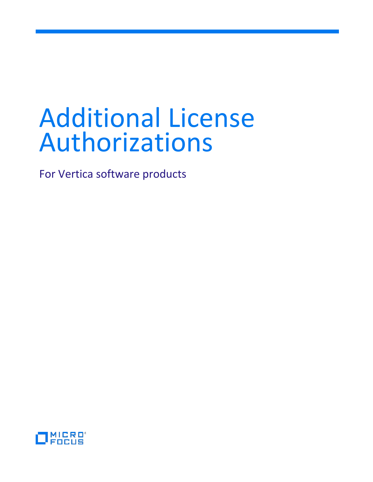# Additional License Authorizations

For Vertica software products

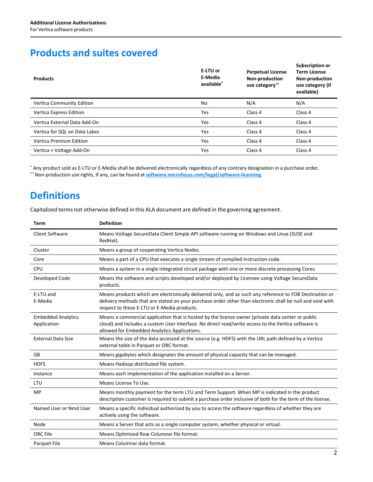## **Products and suites covered**

| <b>Products</b>                  | E-LTU or<br>E-Media<br>available <sup>*</sup> | <b>Perpetual License</b><br>Non-production<br>use category** | Subscription or<br><b>Term License</b><br>Non-production<br>use category (if<br>available) |
|----------------------------------|-----------------------------------------------|--------------------------------------------------------------|--------------------------------------------------------------------------------------------|
| <b>Vertica Community Edition</b> | No                                            | N/A                                                          | N/A                                                                                        |
| Vertica Express Edition          | Yes                                           | Class 4                                                      | Class 4                                                                                    |
| Vertica External Data Add-On     | Yes                                           | Class 4                                                      | Class 4                                                                                    |
| Vertica for SQL on Data Lakes    | Yes                                           | Class 4                                                      | Class 4                                                                                    |
| <b>Vertica Premium Edition</b>   | <b>Yes</b>                                    | Class 4                                                      | Class 4                                                                                    |
| Vertica + Voltage Add-On         | Yes                                           | Class 4                                                      | Class 4                                                                                    |

\* Any product sold as E-LTU or E-Media shall be delivered electronically regardless of any contrary designation in a purchase order. \*\* Non-production use rights, if any, can be found at **[software.microfocus.com/legal/software-licensing](https://software.microfocus.com/legal/software-licensing)**.

# **Definitions**

Capitalized terms not otherwise defined in this ALA document are defined in the governing agreement.

| <b>Term</b>                              | <b>Definition</b>                                                                                                                                                                                                                                                   |
|------------------------------------------|---------------------------------------------------------------------------------------------------------------------------------------------------------------------------------------------------------------------------------------------------------------------|
| <b>Client Software</b>                   | Means Voltage SecureData Client Simple API software running on Windows and Linux (SUSE and<br>RedHat).                                                                                                                                                              |
| Cluster                                  | Means a group of cooperating Vertica Nodes.                                                                                                                                                                                                                         |
| Core                                     | Means a part of a CPU that executes a single stream of compiled instruction code.                                                                                                                                                                                   |
| <b>CPU</b>                               | Means a system in a single integrated circuit package with one or more discrete processing Cores.                                                                                                                                                                   |
| Developed Code                           | Means the software and scripts developed and/or deployed by Licensee using Voltage SecureData<br>products.                                                                                                                                                          |
| E-LTU and<br>E-Media                     | Means products which are electronically delivered only, and as such any reference to FOB Destination or<br>delivery methods that are stated on your purchase order other than electronic shall be null and void with<br>respect to these E-LTU or E-Media products. |
| <b>Embedded Analytics</b><br>Application | Means a commercial application that is hosted by the license owner (private data center or public<br>cloud) and includes a custom User Interface. No direct read/write access to the Vertica software is<br>allowed for Embedded Analytics Applications.            |
| <b>External Data Size</b>                | Means the size of the data accessed at the source (e.g. HDFS) with the URL path defined by a Vertica<br>external table in Parquet or ORC format.                                                                                                                    |
| GB                                       | Means gigabytes which designates the amount of physical capacity that can be managed.                                                                                                                                                                               |
| <b>HDFS</b>                              | Means Hadoop distributed file system.                                                                                                                                                                                                                               |
| Instance                                 | Means each implementation of the application installed on a Server.                                                                                                                                                                                                 |
| LTU                                      | Means License To Use.                                                                                                                                                                                                                                               |
| <b>MP</b>                                | Means monthly payment for the term LTU and Term Support. When MP is indicated in the product<br>description customer is required to submit a purchase order inclusive of both for the term of the license.                                                          |
| Named User or Nmd User                   | Means a specific individual authorized by you to access the software regardless of whether they are<br>actively using the software.                                                                                                                                 |
| Node                                     | Means a Server that acts as a single computer system, whether physical or virtual.                                                                                                                                                                                  |
| ORC File                                 | Means Optimized Row Columnar file format.                                                                                                                                                                                                                           |
| Parquet File                             | Means Columnar data format.                                                                                                                                                                                                                                         |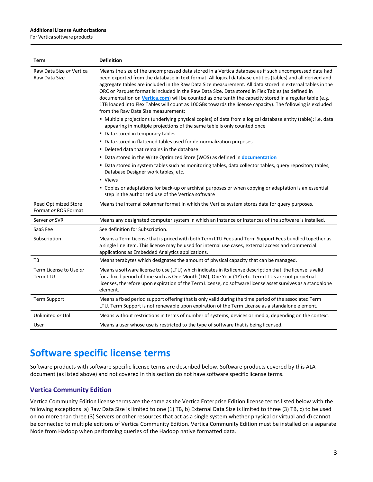#### **Additional License Authorizations**

For Vertica software products

| Term                                                | <b>Definition</b>                                                                                                                                                                                                                                                                                                                                                                                                                                                                                                                                                                                                                                                                                    |
|-----------------------------------------------------|------------------------------------------------------------------------------------------------------------------------------------------------------------------------------------------------------------------------------------------------------------------------------------------------------------------------------------------------------------------------------------------------------------------------------------------------------------------------------------------------------------------------------------------------------------------------------------------------------------------------------------------------------------------------------------------------------|
| Raw Data Size or Vertica<br>Raw Data Size           | Means the size of the uncompressed data stored in a Vertica database as if such uncompressed data had<br>been exported from the database in text format. All logical database entities (tables) and all derived and<br>aggregate tables are included in the Raw Data Size measurement. All data stored in external tables in the<br>ORC or Parquet format is included in the Raw Data Size. Data stored in Flex Tables (as defined in<br>documentation on Vertica.com) will be counted as one tenth the capacity stored in a regular table (e.g.<br>1TB loaded into Flex Tables will count as 100GBs towards the license capacity). The following is excluded<br>from the Raw Data Size measurement: |
|                                                     | " Multiple projections (underlying physical copies) of data from a logical database entity (table); i.e. data<br>appearing in multiple projections of the same table is only counted once                                                                                                                                                                                                                                                                                                                                                                                                                                                                                                            |
|                                                     | • Data stored in temporary tables                                                                                                                                                                                                                                                                                                                                                                                                                                                                                                                                                                                                                                                                    |
|                                                     | • Data stored in flattened tables used for de-normalization purposes                                                                                                                                                                                                                                                                                                                                                                                                                                                                                                                                                                                                                                 |
|                                                     | ■ Deleted data that remains in the database                                                                                                                                                                                                                                                                                                                                                                                                                                                                                                                                                                                                                                                          |
|                                                     | • Data stored in the Write Optimized Store (WOS) as defined in documentation                                                                                                                                                                                                                                                                                                                                                                                                                                                                                                                                                                                                                         |
|                                                     | " Data stored in system tables such as monitoring tables, data collector tables, query repository tables,<br>Database Designer work tables, etc.                                                                                                                                                                                                                                                                                                                                                                                                                                                                                                                                                     |
|                                                     | • Views                                                                                                                                                                                                                                                                                                                                                                                                                                                                                                                                                                                                                                                                                              |
|                                                     | " Copies or adaptations for back-up or archival purposes or when copying or adaptation is an essential<br>step in the authorized use of the Vertica software                                                                                                                                                                                                                                                                                                                                                                                                                                                                                                                                         |
| <b>Read Optimized Store</b><br>Format or ROS Format | Means the internal columnar format in which the Vertica system stores data for query purposes.                                                                                                                                                                                                                                                                                                                                                                                                                                                                                                                                                                                                       |
| Server or SVR                                       | Means any designated computer system in which an Instance or Instances of the software is installed.                                                                                                                                                                                                                                                                                                                                                                                                                                                                                                                                                                                                 |
| SaaS Fee                                            | See definition for Subscription.                                                                                                                                                                                                                                                                                                                                                                                                                                                                                                                                                                                                                                                                     |
| Subscription                                        | Means a Term License that is priced with both Term LTU Fees and Term Support Fees bundled together as<br>a single line item. This license may be used for internal use cases, external access and commercial<br>applications as Embedded Analytics applications.                                                                                                                                                                                                                                                                                                                                                                                                                                     |
| ТB                                                  | Means terabytes which designates the amount of physical capacity that can be managed.                                                                                                                                                                                                                                                                                                                                                                                                                                                                                                                                                                                                                |
| Term License to Use or<br>Term LTU                  | Means a software license to use (LTU) which indicates in its license description that the license is valid<br>for a fixed period of time such as One Month (1M), One Year (1Y) etc. Term LTUs are not perpetual<br>licenses, therefore upon expiration of the Term License, no software license asset survives as a standalone<br>element.                                                                                                                                                                                                                                                                                                                                                           |
| <b>Term Support</b>                                 | Means a fixed period support offering that is only valid during the time period of the associated Term<br>LTU. Term Support is not renewable upon expiration of the Term License as a standalone element.                                                                                                                                                                                                                                                                                                                                                                                                                                                                                            |
| Unlimited or Unl                                    | Means without restrictions in terms of number of systems, devices or media, depending on the context.                                                                                                                                                                                                                                                                                                                                                                                                                                                                                                                                                                                                |
| User                                                | Means a user whose use is restricted to the type of software that is being licensed.                                                                                                                                                                                                                                                                                                                                                                                                                                                                                                                                                                                                                 |

# **Software specific license terms**

Software products with software specific license terms are described below. Software products covered by this ALA document (as listed above) and not covered in this section do not have software specific license terms.

## **Vertica Community Edition**

Vertica Community Edition license terms are the same as the Vertica Enterprise Edition license terms listed below with the following exceptions: a) Raw Data Size is limited to one (1) TB, b) External Data Size is limited to three (3) TB, c) to be used on no more than three (3) Servers or other resources that act as a single system whether physical or virtual and d) cannot be connected to multiple editions of Vertica Community Edition. Vertica Community Edition must be installed on a separate Node from Hadoop when performing queries of the Hadoop native formatted data.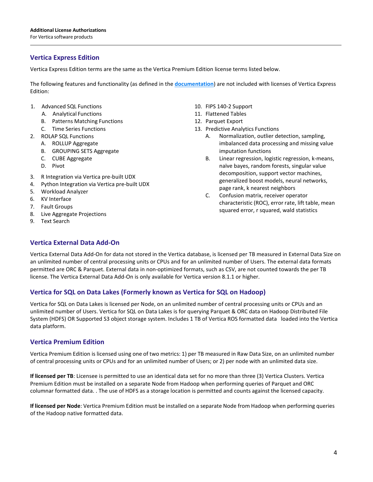### **Vertica Express Edition**

Vertica Express Edition terms are the same as the Vertica Premium Edition license terms listed below.

The following features and functionality (as defined in the **[documentation](https://www.vertica.com/documentation/vertica/9-3-x-documentation/)**) are not included with licenses of Vertica Express Edition:

- 1. Advanced SQL Functions
	- A. Analytical Functions
	- B. Patterns Matching Functions
	- C. Time Series Functions
- 2. ROLAP SQL Functions
	- A. ROLLUP Aggregate
	- B. GROUPING SETS Aggregate
	- C. CUBE Aggregate
	- D. Pivot
- 3. R Integration via Vertica pre-built UDX
- 4. Python Integration via Vertica pre-built UDX
- 5. Workload Analyzer
- 6. KV Interface
- 7. Fault Groups
- 8. Live Aggregate Projections
- 9. Text Search
- 10. FIPS 140-2 Support
- 11. Flattened Tables
- 12. Parquet Export
- 13. Predictive Analytics Functions
	- A. Normalization, outlier detection, sampling, imbalanced data processing and missing value imputation functions
	- B. Linear regression, logistic regression, k-means, naïve bayes, random forests, singular value decomposition, support vector machines, generalized boost models, neural networks, page rank, k nearest neighbors
	- C. Confusion matrix, receiver operator characteristic (ROC), error rate, lift table, mean squared error, r squared, wald statistics

### **Vertica External Data Add-On**

Vertica External Data Add-On for data not stored in the Vertica database, is licensed per TB measured in External Data Size on an unlimited number of central processing units or CPUs and for an unlimited number of Users. The external data formats permitted are ORC & Parquet. External data in non-optimized formats, such as CSV, are not counted towards the per TB license. The Vertica External Data Add-On is only available for Vertica version 8.1.1 or higher.

#### **Vertica for SQL on Data Lakes (Formerly known as Vertica for SQL on Hadoop)**

Vertica for SQL on Data Lakes is licensed per Node, on an unlimited number of central processing units or CPUs and an unlimited number of Users. Vertica for SQL on Data Lakes is for querying Parquet & ORC data on Hadoop Distributed File System (HDFS) OR Supported S3 object storage system. Includes 1 TB of Vertica ROS formatted data loaded into the Vertica data platform.

#### **Vertica Premium Edition**

Vertica Premium Edition is licensed using one of two metrics: 1) per TB measured in Raw Data Size, on an unlimited number of central processing units or CPUs and for an unlimited number of Users; or 2) per node with an unlimited data size.

**If licensed per TB**: Licensee is permitted to use an identical data set for no more than three (3) Vertica Clusters. Vertica Premium Edition must be installed on a separate Node from Hadoop when performing queries of Parquet and ORC columnar formatted data. . The use of HDFS as a storage location is permitted and counts against the licensed capacity.

**If licensed per Node**: Vertica Premium Edition must be installed on a separate Node from Hadoop when performing queries of the Hadoop native formatted data.